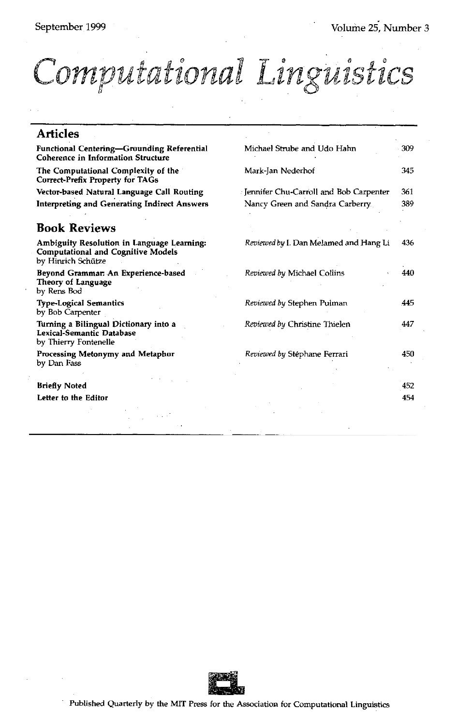## Computational Linguistics

| <b>Articles</b>                                                                                               |                                        |     |
|---------------------------------------------------------------------------------------------------------------|----------------------------------------|-----|
| Functional Centering-Grounding Referential<br><b>Coherence in Information Structure</b>                       | Michael Strube and Udo Hahn            | 309 |
| The Computational Complexity of the<br><b>Correct-Prefix Property for TAGs</b>                                | Mark-Jan Nederhof                      | 345 |
| Vector-based Natural Language Call Routing                                                                    | Jennifer Chu-Carroll and Bob Carpenter | 361 |
| Interpreting and Generating Indirect Answers                                                                  | Nancy Green and Sandra Carberry.       | 389 |
| <b>Book Reviews</b>                                                                                           |                                        |     |
| Ambiguity Resolution in Language Learning:<br><b>Computational and Cognitive Models</b><br>by Hinrich Schütze | Reviewed by I. Dan Melamed and Hang Li | 436 |
| Beyond Grammar: An Experience-based<br><b>Theory of Language</b><br>by Rens Bod                               | Reviewed by Michael Collins            | 440 |
| <b>Type-Logical Semantics</b><br>by Bob Carpenter                                                             | Reviewed by Stephen Pulman             | 445 |
| Turning a Bilingual Dictionary into a<br>Lexical-Semantic Database<br>by Thierry Fontenelle                   | Reviewed by Christine Thielen          | 447 |
| Processing Metonymy and Metaphor<br>by Dan Fass                                                               | Reviewed by Stéphane Ferrari           | 450 |
| <b>Briefly Noted</b>                                                                                          |                                        | 452 |
| Letter to the Editor                                                                                          |                                        | 454 |
|                                                                                                               |                                        |     |

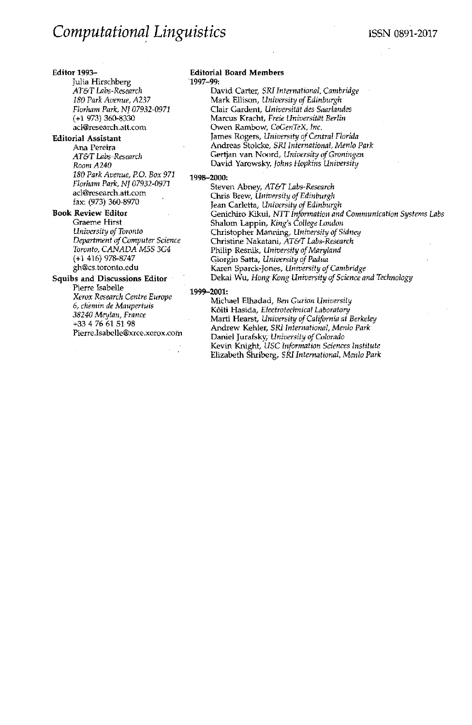#### **Editor** 1993-

Julia Hirschberg *AT&T Labs-Research 180 Park Avenue, A237 Florham Park, NJ 07932-0971*  (+1 973) 360-8330 acl@research.att.com

#### **Editorial Assistant**

Ana Pereira *AT&T Labs-Research Room A240 180 Park Avenue, P.O. Box 971 Florham Park, NJ 07932-0971*  acl@research.att.com fax: (973) 360-8970

## **Book Review Editor**

Graeme Hirst *University of Toronto Department of Computer Science Toronto, CANADA M5S 3G4*  (+1 416) 978-8747 gh@cs.toronto.edu

### **Squibs and Discussions Editor**

Pierre Isabelle *Xerox Research Centre Europe 6, chemin de Maupertuis 38240 Meylan, France*  +33 4 76 61 51 98 Pierre.Isabelle@xrce.xerox.com

#### **Editorial Board Members**  1997-99:

David Carter, *SRI International, Cambridge*  Mark Ellison, *University of Edinburgh*  Clair Gardent, *Universit~t des Saarlandes*  Marcus Kracht, Freie Universität Berlin Owen Rambow, *CoGenTeX, Inc.*  James Rogers, *University of Central Florida*  Andreas Stolcke, *SRI International, Menlo Park*  Gertjan van Noord, *Universffy of Groningen*  David Yarowsky, *Johns Hopkins University* 

### 1998-2000:

Steven Abney, *AT&T Labs-Research*  Chris Brew, *University of Edinburgh*  Jean Carletta, *University of Edinburgh*  Genichiro Kikul, NTT *Information and Communication Systems Labs*  Shalom Lappin, *King's College London*  Christopher Manning, *University of Sidney*  Christine Nakatani, *AT&T Labs-Research*  Philip Resnik, *University of Maryland*  Giorgio Satta, *University of Padua*  Karen Sparck-Jones, *University of Cambridge*  Dekai Wu, *Hong Kong University of Science and Technology* 

#### 1999-2001:

Michael Elhadad, *Ben Gurion University*  K6iti Hasida, *Electrotechnical Laboratory*  Marti Hearst, *University of California at Berkeley*  Andrew Kehler, *SRI International, Menlo Park*  Daniel Jurafsky, *University of Colorado*  Kevin Knight, *USC b~formation Sciences Institute*  Elizabeth Shriberg, *SRI International, Menlo Park*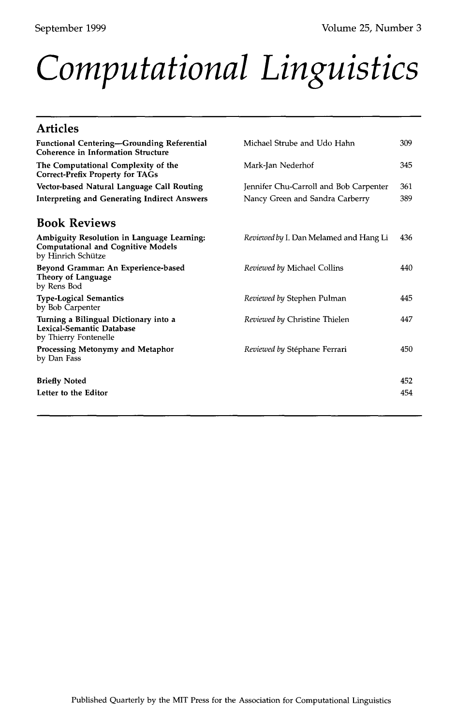# *Computational Linguistics*

| <b>Articles</b>                                                                                               |                                               |     |
|---------------------------------------------------------------------------------------------------------------|-----------------------------------------------|-----|
| <b>Functional Centering—Grounding Referential</b><br><b>Coherence in Information Structure</b>                | Michael Strube and Udo Hahn                   | 309 |
| The Computational Complexity of the<br><b>Correct-Prefix Property for TAGs</b>                                | Mark-Jan Nederhof                             | 345 |
| Vector-based Natural Language Call Routing                                                                    | Jennifer Chu-Carroll and Bob Carpenter        | 361 |
| <b>Interpreting and Generating Indirect Answers</b>                                                           | Nancy Green and Sandra Carberry               | 389 |
| <b>Book Reviews</b>                                                                                           |                                               |     |
| Ambiguity Resolution in Language Learning:<br><b>Computational and Cognitive Models</b><br>by Hinrich Schütze | <i>Reviewed by I. Dan Melamed and Hang Li</i> | 436 |
| Beyond Grammar: An Experience-based<br>Theory of Language<br>by Rens Bod                                      | Reviewed by Michael Collins                   | 440 |
| <b>Type-Logical Semantics</b><br>by Bob Carpenter                                                             | Reviewed by Stephen Pulman                    | 445 |
| Turning a Bilingual Dictionary into a<br>Lexical-Semantic Database<br>by Thierry Fontenelle                   | Reviewed by Christine Thielen                 | 447 |
| Processing Metonymy and Metaphor<br>by Dan Fass                                                               | Reviewed by Stéphane Ferrari                  | 450 |
| <b>Briefly Noted</b>                                                                                          |                                               | 452 |
| Letter to the Editor                                                                                          |                                               | 454 |